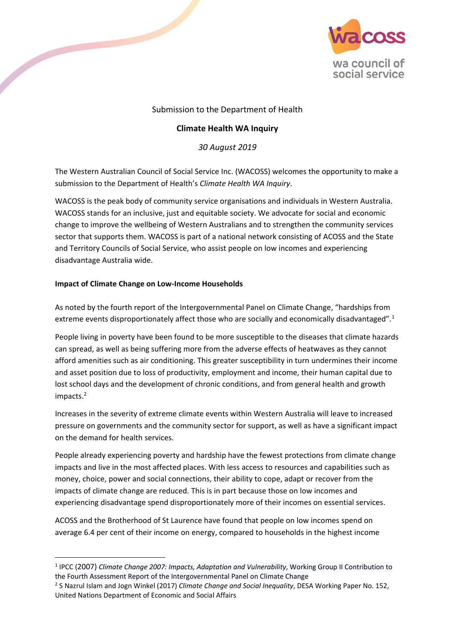

# Submission to the Department of Health

# **Climate Health WA Inquiry**

*30 August 2019*

The Western Australian Council of Social Service Inc. (WACOSS) welcomes the opportunity to make a submission to the Department of Health's *Climate Health WA Inquiry*.

WACOSS is the peak body of community service organisations and individuals in Western Australia. WACOSS stands for an inclusive, just and equitable society. We advocate for social and economic change to improve the wellbeing of Western Australians and to strengthen the community services sector that supports them. WACOSS is part of a national network consisting of ACOSS and the State and Territory Councils of Social Service, who assist people on low incomes and experiencing disadvantage Australia wide.

# **Impact of Climate Change on Low-Income Households**

**.** 

As noted by the fourth report of the Intergovernmental Panel on Climate Change, "hardships from extreme events disproportionately affect those who are socially and economically disadvantaged".<sup>1</sup>

People living in poverty have been found to be more susceptible to the diseases that climate hazards can spread, as well as being suffering more from the adverse effects of heatwaves as they cannot afford amenities such as air conditioning. This greater susceptibility in turn undermines their income and asset position due to loss of productivity, employment and income, their human capital due to lost school days and the development of chronic conditions, and from general health and growth impacts.<sup>2</sup>

Increases in the severity of extreme climate events within Western Australia will leave to increased pressure on governments and the community sector for support, as well as have a significant impact on the demand for health services.

People already experiencing poverty and hardship have the fewest protections from climate change impacts and live in the most affected places. With less access to resources and capabilities such as money, choice, power and social connections, their ability to cope, adapt or recover from the impacts of climate change are reduced. This is in part because those on low incomes and experiencing disadvantage spend disproportionately more of their incomes on essential services.

ACOSS and the Brotherhood of St Laurence have found that people on low incomes spend on average 6.4 per cent of their income on energy, compared to households in the highest income

<sup>&</sup>lt;sup>1</sup> IPCC (2007) Climate Change 2007: Impacts, Adaptation and Vulnerability, Working Group II Contribution to the Fourth Assessment Report of the Intergovernmental Panel on Climate Change

<sup>2</sup> S Nazrul Islam and Jogn Winkel (2017) *Climate Change and Social Inequality*, DESA Working Paper No. 152, United Nations Department of Economic and Social Affairs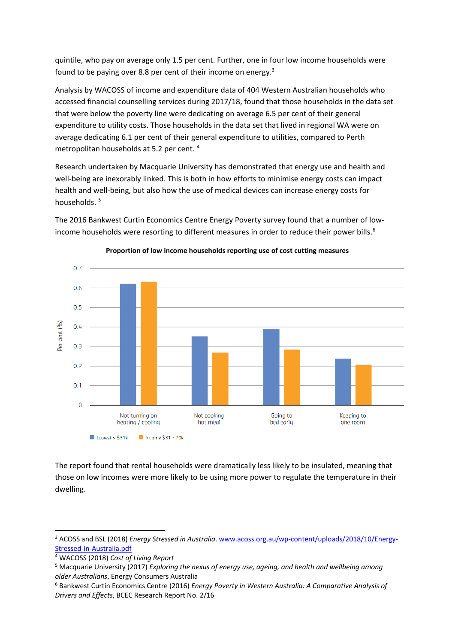quintile, who pay on average only 1.5 per cent. Further, one in four low income households were found to be paying over 8.8 per cent of their income on energy.<sup>3</sup>

Analysis by WACOSS of income and expenditure data of 404 Western Australian households who accessed financial counselling services during 2017/18, found that those households in the data set that were below the poverty line were dedicating on average 6.5 per cent of their general expenditure to utility costs. Those households in the data set that lived in regional WA were on average dedicating 6.1 per cent of their general expenditure to utilities, compared to Perth metropolitan households at 5.2 per cent. <sup>4</sup>

Research undertaken by Macquarie University has demonstrated that energy use and health and well-being are inexorably linked. This is both in how efforts to minimise energy costs can impact health and well-being, but also how the use of medical devices can increase energy costs for households. <sup>5</sup>

The 2016 Bankwest Curtin Economics Centre Energy Poverty survey found that a number of lowincome households were resorting to different measures in order to reduce their power bills.<sup>6</sup>



# **Proportion of low income households reporting use of cost cutting measures**

The report found that rental households were dramatically less likely to be insulated, meaning that those on low incomes were more likely to be using more power to regulate the temperature in their dwelling.

1

<sup>&</sup>lt;sup>3</sup> ACOSS and BSL (2018) *Energy Stressed in Australia*[. www.acoss.org.au/wp-content/uploads/2018/10/Energy-](http://www.acoss.org.au/wp-content/uploads/2018/10/Energy-Stressed-in-Australia.pdf)[Stressed-in-Australia.pdf](http://www.acoss.org.au/wp-content/uploads/2018/10/Energy-Stressed-in-Australia.pdf)

<sup>4</sup> WACOSS (2018) *Cost of Living Report*

<sup>5</sup> Macquarie University (2017) *Exploring the nexus of energy use, ageing, and health and wellbeing among older Australians*, Energy Consumers Australia

<sup>6</sup> Bankwest Curtin Economics Centre (2016) *Energy Poverty in Western Australia: A Comparative Analysis of Drivers and Effects*, BCEC Research Report No. 2/16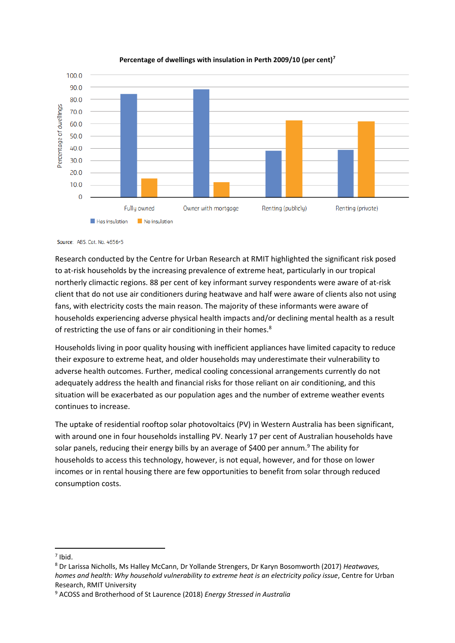

### **Percentage of dwellings with insulation in Perth 2009/10 (per cent)<sup>7</sup>**

Source: ABS. Cat. No. 4656-5

Research conducted by the Centre for Urban Research at RMIT highlighted the significant risk posed to at-risk households by the increasing prevalence of extreme heat, particularly in our tropical northerly climactic regions. 88 per cent of key informant survey respondents were aware of at-risk client that do not use air conditioners during heatwave and half were aware of clients also not using fans, with electricity costs the main reason. The majority of these informants were aware of households experiencing adverse physical health impacts and/or declining mental health as a result of restricting the use of fans or air conditioning in their homes.<sup>8</sup>

Households living in poor quality housing with inefficient appliances have limited capacity to reduce their exposure to extreme heat, and older households may underestimate their vulnerability to adverse health outcomes. Further, medical cooling concessional arrangements currently do not adequately address the health and financial risks for those reliant on air conditioning, and this situation will be exacerbated as our population ages and the number of extreme weather events continues to increase.

The uptake of residential rooftop solar photovoltaics (PV) in Western Australia has been significant, with around one in four households installing PV. Nearly 17 per cent of Australian households have solar panels, reducing their energy bills by an average of \$400 per annum.<sup>9</sup> The ability for households to access this technology, however, is not equal, however, and for those on lower incomes or in rental housing there are few opportunities to benefit from solar through reduced consumption costs.

**.** 

 $<sup>7</sup>$  Ibid.</sup>

<sup>8</sup> Dr Larissa Nicholls, Ms Halley McCann, Dr Yollande Strengers, Dr Karyn Bosomworth (2017) *Heatwaves, homes and health: Why household vulnerability to extreme heat is an electricity policy issue*, Centre for Urban Research, RMIT University

<sup>9</sup> ACOSS and Brotherhood of St Laurence (2018) *Energy Stressed in Australia*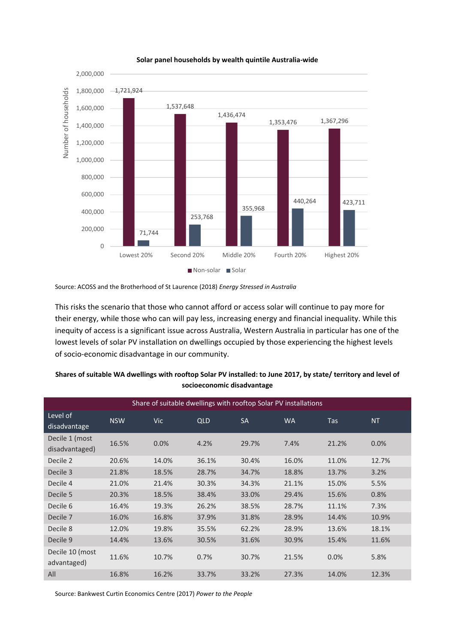

#### **Solar panel households by wealth quintile Australia-wide**

This risks the scenario that those who cannot afford or access solar will continue to pay more for their energy, while those who can will pay less, increasing energy and financial inequality. While this inequity of access is a significant issue across Australia, Western Australia in particular has one of the lowest levels of solar PV installation on dwellings occupied by those experiencing the highest levels of socio-economic disadvantage in our community.

| Share of suitable dwellings with rooftop Solar PV installations |            |            |            |           |           |            |       |
|-----------------------------------------------------------------|------------|------------|------------|-----------|-----------|------------|-------|
| Level of<br>disadvantage                                        | <b>NSW</b> | <b>Vic</b> | <b>QLD</b> | <b>SA</b> | <b>WA</b> | <b>Tas</b> | NT.   |
| Decile 1 (most<br>disadvantaged)                                | 16.5%      | 0.0%       | 4.2%       | 29.7%     | 7.4%      | 21.2%      | 0.0%  |
| Decile 2                                                        | 20.6%      | 14.0%      | 36.1%      | 30.4%     | 16.0%     | 11.0%      | 12.7% |
| Decile 3                                                        | 21.8%      | 18.5%      | 28.7%      | 34.7%     | 18.8%     | 13.7%      | 3.2%  |
| Decile 4                                                        | 21.0%      | 21.4%      | 30.3%      | 34.3%     | 21.1%     | 15.0%      | 5.5%  |
| Decile 5                                                        | 20.3%      | 18.5%      | 38.4%      | 33.0%     | 29.4%     | 15.6%      | 0.8%  |
| Decile 6                                                        | 16.4%      | 19.3%      | 26.2%      | 38.5%     | 28.7%     | 11.1%      | 7.3%  |
| Decile 7                                                        | 16.0%      | 16.8%      | 37.9%      | 31.8%     | 28.9%     | 14.4%      | 10.9% |
| Decile 8                                                        | 12.0%      | 19.8%      | 35.5%      | 62.2%     | 28.9%     | 13.6%      | 18.1% |
| Decile 9                                                        | 14.4%      | 13.6%      | 30.5%      | 31.6%     | 30.9%     | 15.4%      | 11.6% |
| Decile 10 (most<br>advantaged)                                  | 11.6%      | 10.7%      | 0.7%       | 30.7%     | 21.5%     | 0.0%       | 5.8%  |
| All                                                             | 16.8%      | 16.2%      | 33.7%      | 33.2%     | 27.3%     | 14.0%      | 12.3% |

### **Shares of suitable WA dwellings with rooftop Solar PV installed: to June 2017, by state/ territory and level of socioeconomic disadvantage**

Source: Bankwest Curtin Economics Centre (2017) *Power to the People*

Source: ACOSS and the Brotherhood of St Laurence (2018) *Energy Stressed in Australia*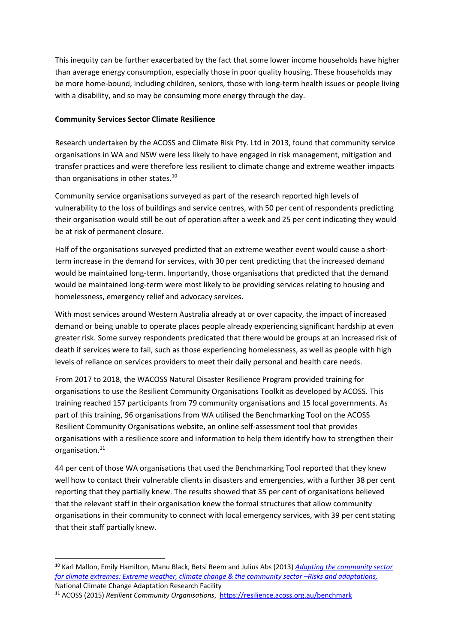This inequity can be further exacerbated by the fact that some lower income households have higher than average energy consumption, especially those in poor quality housing. These households may be more home-bound, including children, seniors, those with long-term health issues or people living with a disability, and so may be consuming more energy through the day.

# **Community Services Sector Climate Resilience**

Research undertaken by the ACOSS and Climate Risk Pty. Ltd in 2013, found that community service organisations in WA and NSW were less likely to have engaged in risk management, mitigation and transfer practices and were therefore less resilient to climate change and extreme weather impacts than organisations in other states.<sup>10</sup>

Community service organisations surveyed as part of the research reported high levels of vulnerability to the loss of buildings and service centres, with 50 per cent of respondents predicting their organisation would still be out of operation after a week and 25 per cent indicating they would be at risk of permanent closure.

Half of the organisations surveyed predicted that an extreme weather event would cause a shortterm increase in the demand for services, with 30 per cent predicting that the increased demand would be maintained long-term. Importantly, those organisations that predicted that the demand would be maintained long-term were most likely to be providing services relating to housing and homelessness, emergency relief and advocacy services.

With most services around Western Australia already at or over capacity, the impact of increased demand or being unable to operate places people already experiencing significant hardship at even greater risk. Some survey respondents predicated that there would be groups at an increased risk of death if services were to fail, such as those experiencing homelessness, as well as people with high levels of reliance on services providers to meet their daily personal and health care needs.

From 2017 to 2018, the WACOSS Natural Disaster Resilience Program provided training for organisations to use the Resilient Community Organisations Toolkit as developed by ACOSS. This training reached 157 participants from 79 community organisations and 15 local governments. As part of this training, 96 organisations from WA utilised the Benchmarking Tool on the ACOSS Resilient Community Organisations website, an online self-assessment tool that provides organisations with a resilience score and information to help them identify how to strengthen their organisation. 11

44 per cent of those WA organisations that used the Benchmarking Tool reported that they knew well how to contact their vulnerable clients in disasters and emergencies, with a further 38 per cent reporting that they partially knew. The results showed that 35 per cent of organisations believed that the relevant staff in their organisation knew the formal structures that allow community organisations in their community to connect with local emergency services, with 39 per cent stating that their staff partially knew.

**.** 

<sup>10</sup> Karl Mallon, Emily Hamilton, Manu Black, Betsi Beem and Julius Abs (2013) *[Adapting the community sector](https://www.acoss.org.au/wp-content/uploads/2018/08/2013_Adapting_community_sector.pdf)  [for climate extremes: Extreme weather, climate change & the community sector](https://www.acoss.org.au/wp-content/uploads/2018/08/2013_Adapting_community_sector.pdf) -Risks and adaptations,* National Climate Change Adaptation Research Facility

<sup>11</sup> ACOSS (2015) *Resilient Community Organisations*,<https://resilience.acoss.org.au/benchmark>